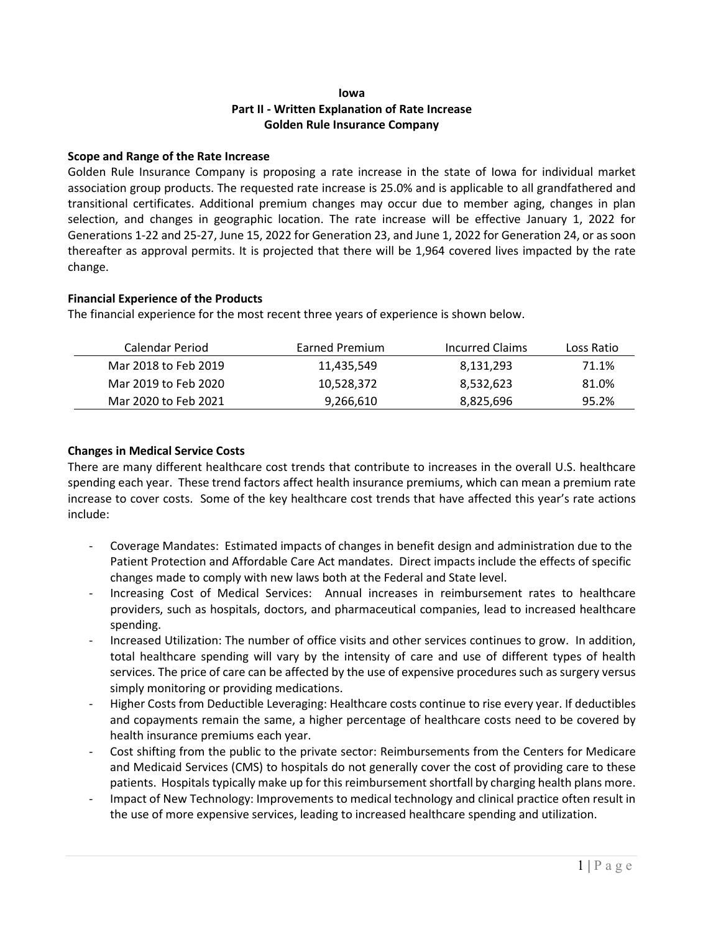# **Iowa Part II - Written Explanation of Rate Increase Golden Rule Insurance Company**

## **Scope and Range of the Rate Increase**

Golden Rule Insurance Company is proposing a rate increase in the state of Iowa for individual market association group products. The requested rate increase is 25.0% and is applicable to all grandfathered and transitional certificates. Additional premium changes may occur due to member aging, changes in plan selection, and changes in geographic location. The rate increase will be effective January 1, 2022 for Generations 1-22 and 25-27, June 15, 2022 for Generation 23, and June 1, 2022 for Generation 24, or as soon thereafter as approval permits. It is projected that there will be 1,964 covered lives impacted by the rate change.

## **Financial Experience of the Products**

The financial experience for the most recent three years of experience is shown below.

| Calendar Period      | Earned Premium | Incurred Claims | Loss Ratio |
|----------------------|----------------|-----------------|------------|
| Mar 2018 to Feb 2019 | 11,435,549     | 8,131,293       | 71.1%      |
| Mar 2019 to Feb 2020 | 10,528,372     | 8,532,623       | 81.0%      |
| Mar 2020 to Feb 2021 | 9,266,610      | 8,825,696       | 95.2%      |

#### **Changes in Medical Service Costs**

There are many different healthcare cost trends that contribute to increases in the overall U.S. healthcare spending each year. These trend factors affect health insurance premiums, which can mean a premium rate increase to cover costs. Some of the key healthcare cost trends that have affected this year's rate actions include:

- Coverage Mandates: Estimated impacts of changes in benefit design and administration due to the Patient Protection and Affordable Care Act mandates. Direct impacts include the effects of specific changes made to comply with new laws both at the Federal and State level.
- Increasing Cost of Medical Services: Annual increases in reimbursement rates to healthcare providers, such as hospitals, doctors, and pharmaceutical companies, lead to increased healthcare spending.
- Increased Utilization: The number of office visits and other services continues to grow. In addition, total healthcare spending will vary by the intensity of care and use of different types of health services. The price of care can be affected by the use of expensive procedures such as surgery versus simply monitoring or providing medications.
- Higher Costs from Deductible Leveraging: Healthcare costs continue to rise every year. If deductibles and copayments remain the same, a higher percentage of healthcare costs need to be covered by health insurance premiums each year.
- Cost shifting from the public to the private sector: Reimbursements from the Centers for Medicare and Medicaid Services (CMS) to hospitals do not generally cover the cost of providing care to these patients. Hospitals typically make up for this reimbursement shortfall by charging health plans more.
- Impact of New Technology: Improvements to medical technology and clinical practice often result in the use of more expensive services, leading to increased healthcare spending and utilization.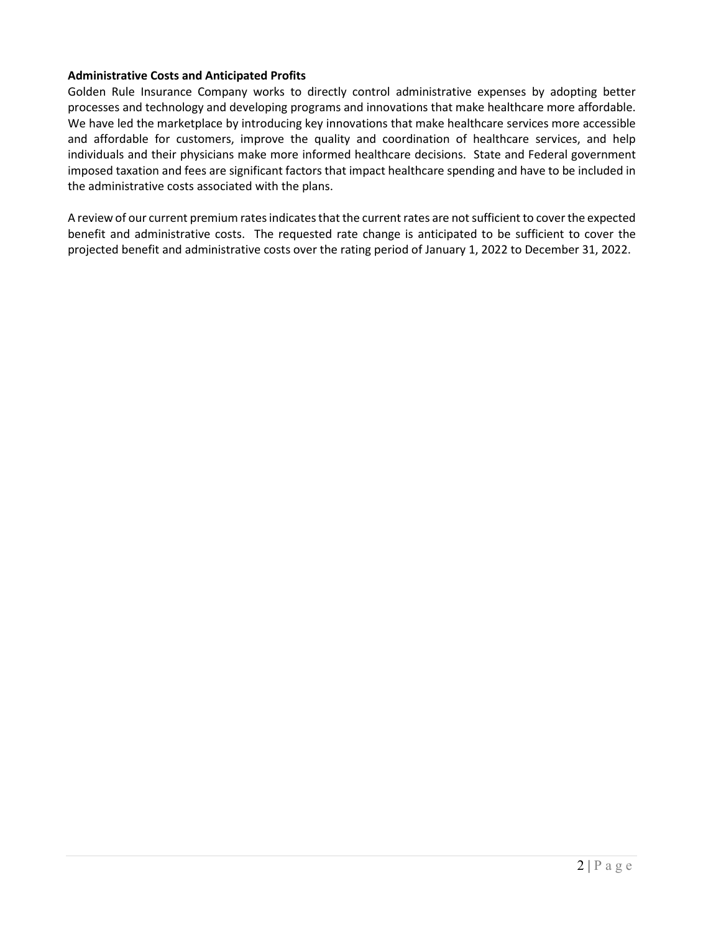### **Administrative Costs and Anticipated Profits**

Golden Rule Insurance Company works to directly control administrative expenses by adopting better processes and technology and developing programs and innovations that make healthcare more affordable. We have led the marketplace by introducing key innovations that make healthcare services more accessible and affordable for customers, improve the quality and coordination of healthcare services, and help individuals and their physicians make more informed healthcare decisions. State and Federal government imposed taxation and fees are significant factors that impact healthcare spending and have to be included in the administrative costs associated with the plans.

A review of our current premium rates indicates that the current rates are not sufficient to cover the expected benefit and administrative costs. The requested rate change is anticipated to be sufficient to cover the projected benefit and administrative costs over the rating period of January 1, 2022 to December 31, 2022.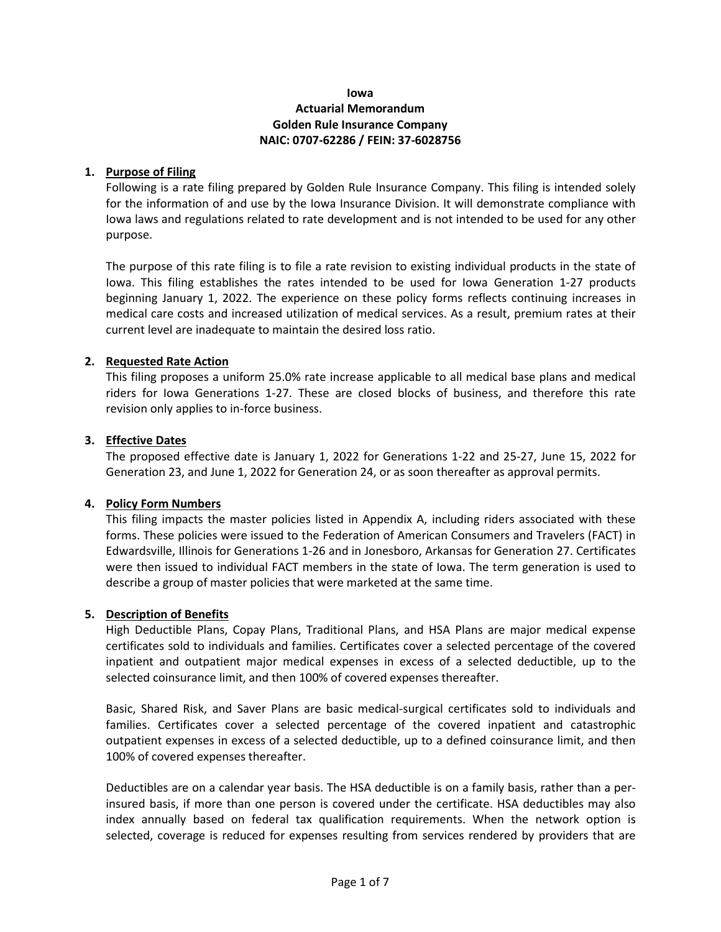## **Iowa Actuarial Memorandum Golden Rule Insurance Company NAIC: 0707-62286 / FEIN: 37-6028756**

## **1. Purpose of Filing**

Following is a rate filing prepared by Golden Rule Insurance Company. This filing is intended solely for the information of and use by the Iowa Insurance Division. It will demonstrate compliance with Iowa laws and regulations related to rate development and is not intended to be used for any other purpose.

The purpose of this rate filing is to file a rate revision to existing individual products in the state of Iowa. This filing establishes the rates intended to be used for Iowa Generation 1-27 products beginning January 1, 2022. The experience on these policy forms reflects continuing increases in medical care costs and increased utilization of medical services. As a result, premium rates at their current level are inadequate to maintain the desired loss ratio.

#### **2. Requested Rate Action**

This filing proposes a uniform 25.0% rate increase applicable to all medical base plans and medical riders for Iowa Generations 1-27. These are closed blocks of business, and therefore this rate revision only applies to in-force business.

#### **3. Effective Dates**

The proposed effective date is January 1, 2022 for Generations 1-22 and 25-27, June 15, 2022 for Generation 23, and June 1, 2022 for Generation 24, or as soon thereafter as approval permits.

## **4. Policy Form Numbers**

This filing impacts the master policies listed in Appendix A, including riders associated with these forms. These policies were issued to the Federation of American Consumers and Travelers (FACT) in Edwardsville, Illinois for Generations 1-26 and in Jonesboro, Arkansas for Generation 27. Certificates were then issued to individual FACT members in the state of Iowa. The term generation is used to describe a group of master policies that were marketed at the same time.

#### **5. Description of Benefits**

High Deductible Plans, Copay Plans, Traditional Plans, and HSA Plans are major medical expense certificates sold to individuals and families. Certificates cover a selected percentage of the covered inpatient and outpatient major medical expenses in excess of a selected deductible, up to the selected coinsurance limit, and then 100% of covered expenses thereafter.

Basic, Shared Risk, and Saver Plans are basic medical-surgical certificates sold to individuals and families. Certificates cover a selected percentage of the covered inpatient and catastrophic outpatient expenses in excess of a selected deductible, up to a defined coinsurance limit, and then 100% of covered expenses thereafter.

Deductibles are on a calendar year basis. The HSA deductible is on a family basis, rather than a perinsured basis, if more than one person is covered under the certificate. HSA deductibles may also index annually based on federal tax qualification requirements. When the network option is selected, coverage is reduced for expenses resulting from services rendered by providers that are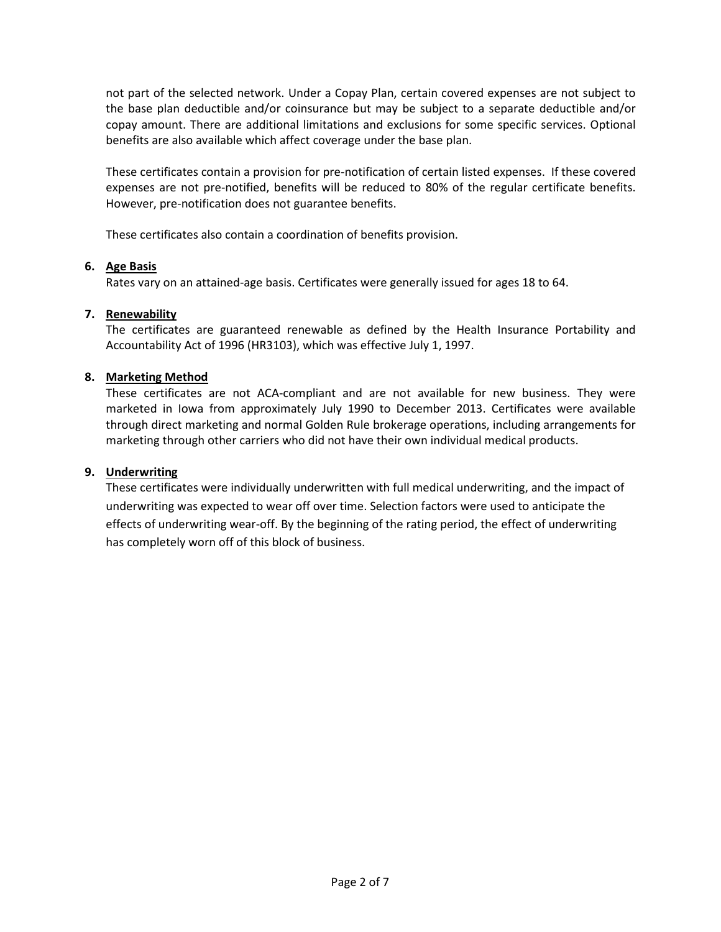not part of the selected network. Under a Copay Plan, certain covered expenses are not subject to the base plan deductible and/or coinsurance but may be subject to a separate deductible and/or copay amount. There are additional limitations and exclusions for some specific services. Optional benefits are also available which affect coverage under the base plan.

These certificates contain a provision for pre-notification of certain listed expenses. If these covered expenses are not pre-notified, benefits will be reduced to 80% of the regular certificate benefits. However, pre-notification does not guarantee benefits.

These certificates also contain a coordination of benefits provision.

# **6. Age Basis**

Rates vary on an attained-age basis. Certificates were generally issued for ages 18 to 64.

# **7. Renewability**

The certificates are guaranteed renewable as defined by the Health Insurance Portability and Accountability Act of 1996 (HR3103), which was effective July 1, 1997.

# **8. Marketing Method**

These certificates are not ACA-compliant and are not available for new business. They were marketed in Iowa from approximately July 1990 to December 2013. Certificates were available through direct marketing and normal Golden Rule brokerage operations, including arrangements for marketing through other carriers who did not have their own individual medical products.

# **9. Underwriting**

These certificates were individually underwritten with full medical underwriting, and the impact of underwriting was expected to wear off over time. Selection factors were used to anticipate the effects of underwriting wear-off. By the beginning of the rating period, the effect of underwriting has completely worn off of this block of business.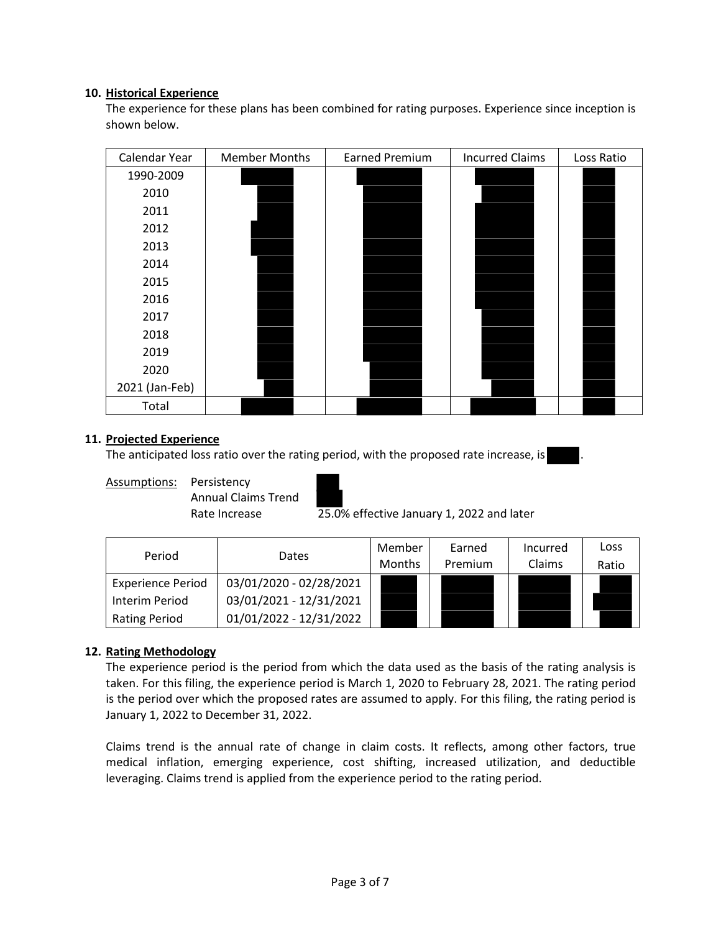## **10. Historical Experience**

The experience for these plans has been combined for rating purposes. Experience since inception is shown below.

| Calendar Year  | <b>Member Months</b> | <b>Earned Premium</b> | <b>Incurred Claims</b> | Loss Ratio |
|----------------|----------------------|-----------------------|------------------------|------------|
| 1990-2009      |                      |                       |                        |            |
| 2010           |                      |                       |                        |            |
| 2011           |                      |                       |                        |            |
| 2012           |                      |                       |                        |            |
| 2013           |                      |                       |                        |            |
| 2014           |                      |                       |                        |            |
| 2015           |                      |                       |                        |            |
| 2016           |                      |                       |                        |            |
| 2017           |                      |                       |                        |            |
| 2018           |                      |                       |                        |            |
| 2019           |                      |                       |                        |            |
| 2020           |                      |                       |                        |            |
| 2021 (Jan-Feb) |                      |                       |                        |            |
| Total          |                      |                       |                        |            |

## **11. Projected Experience**

The anticipated loss ratio over the rating period, with the proposed rate increase, is

Assumptions: Persistency Annual Claims Trend



Rate Increase 25.0% effective January 1, 2022 and later

| Period                   | <b>Dates</b>            | Member<br><b>Months</b> | Earned<br>Premium | Incurred<br>Claims | Loss<br>Ratio |
|--------------------------|-------------------------|-------------------------|-------------------|--------------------|---------------|
| <b>Experience Period</b> | 03/01/2020 - 02/28/2021 |                         |                   |                    |               |
| Interim Period           | 03/01/2021 - 12/31/2021 |                         |                   |                    |               |
| <b>Rating Period</b>     | 01/01/2022 - 12/31/2022 |                         |                   |                    |               |

# **12. Rating Methodology**

The experience period is the period from which the data used as the basis of the rating analysis is taken. For this filing, the experience period is March 1, 2020 to February 28, 2021. The rating period is the period over which the proposed rates are assumed to apply. For this filing, the rating period is January 1, 2022 to December 31, 2022.

Claims trend is the annual rate of change in claim costs. It reflects, among other factors, true medical inflation, emerging experience, cost shifting, increased utilization, and deductible leveraging. Claims trend is applied from the experience period to the rating period.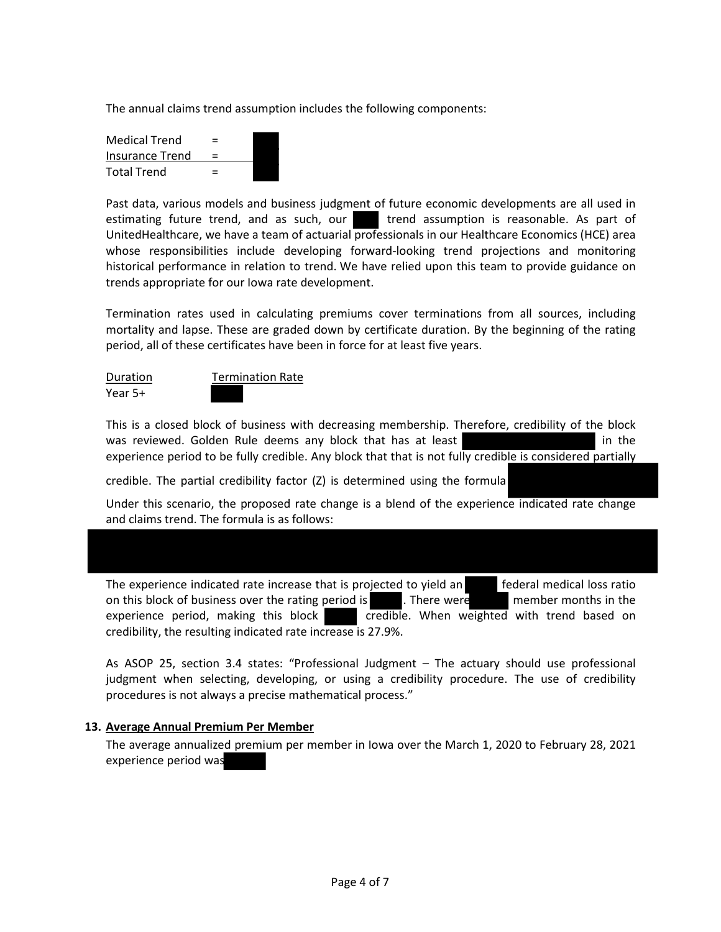The annual claims trend assumption includes the following components:

| <b>Medical Trend</b> | $\equiv$ |
|----------------------|----------|
| Insurance Trend      | $=$      |
| <b>Total Trend</b>   | $=$      |

Past data, various models and business judgment of future economic developments are all used in estimating future trend, and as such, our strend assumption is reasonable. As part of UnitedHealthcare, we have a team of actuarial professionals in our Healthcare Economics (HCE) area whose responsibilities include developing forward-looking trend projections and monitoring historical performance in relation to trend. We have relied upon this team to provide guidance on trends appropriate for our Iowa rate development.

Termination rates used in calculating premiums cover terminations from all sources, including mortality and lapse. These are graded down by certificate duration. By the beginning of the rating period, all of these certificates have been in force for at least five years.

Year 5+



This is a closed block of business with decreasing membership. Therefore, credibility of the block was reviewed. Golden Rule deems any block that has at least in the in the experience period to be fully credible. Any block that that is not fully credible is considered partially

credible. The partial credibility factor (Z) is determined using the formula

Under this scenario, the proposed rate change is a blend of the experience indicated rate change and claims trend. The formula is as follows:

The experience indicated rate increase that is projected to yield an federal medical loss ratio on this block of business over the rating period is . There were member months in the experience period, making this block credible. When weighted with trend based on credibility, the resulting indicated rate increase is 27.9%.

As ASOP 25, section 3.4 states: "Professional Judgment – The actuary should use professional judgment when selecting, developing, or using a credibility procedure. The use of credibility procedures is not always a precise mathematical process."

## **13. Average Annual Premium Per Member**

The average annualized premium per member in Iowa over the March 1, 2020 to February 28, 2021 experience period was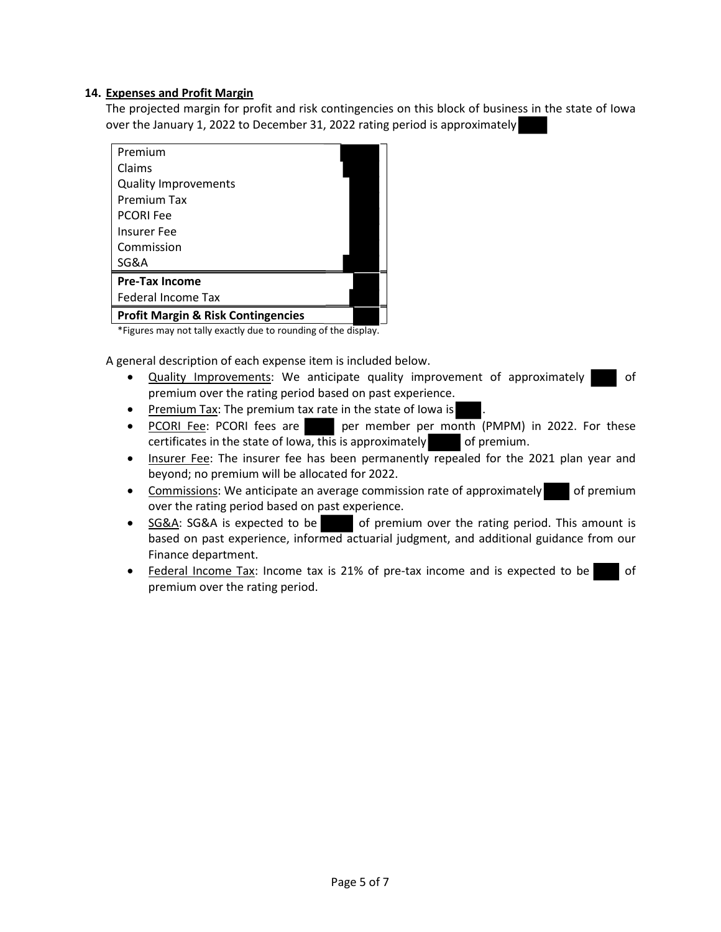## **14. Expenses and Profit Margin**

The projected margin for profit and risk contingencies on this block of business in the state of Iowa over the January 1, 2022 to December 31, 2022 rating period is approximately

| Premium                                       |  |
|-----------------------------------------------|--|
| Claims                                        |  |
| <b>Quality Improvements</b>                   |  |
| <b>Premium Tax</b>                            |  |
| <b>PCORI Fee</b>                              |  |
| <b>Insurer Fee</b>                            |  |
| Commission                                    |  |
| SG&A                                          |  |
| <b>Pre-Tax Income</b>                         |  |
| <b>Federal Income Tax</b>                     |  |
| <b>Profit Margin &amp; Risk Contingencies</b> |  |

\*Figures may not tally exactly due to rounding of the display.

A general description of each expense item is included below.

- Quality Improvements: We anticipate quality improvement of approximately of premium over the rating period based on past experience.
- Premium Tax: The premium tax rate in the state of lowa is
- PCORI Fee: PCORI fees are per member per month (PMPM) in 2022. For these certificates in the state of Iowa, this is approximately of premium.
- Insurer Fee: The insurer fee has been permanently repealed for the 2021 plan year and beyond; no premium will be allocated for 2022.
- Commissions: We anticipate an average commission rate of approximately of premium over the rating period based on past experience.
- SG&A: SG&A is expected to be of premium over the rating period. This amount is based on past experience, informed actuarial judgment, and additional guidance from our Finance department.
- Federal Income Tax: Income tax is 21% of pre-tax income and is expected to be of premium over the rating period.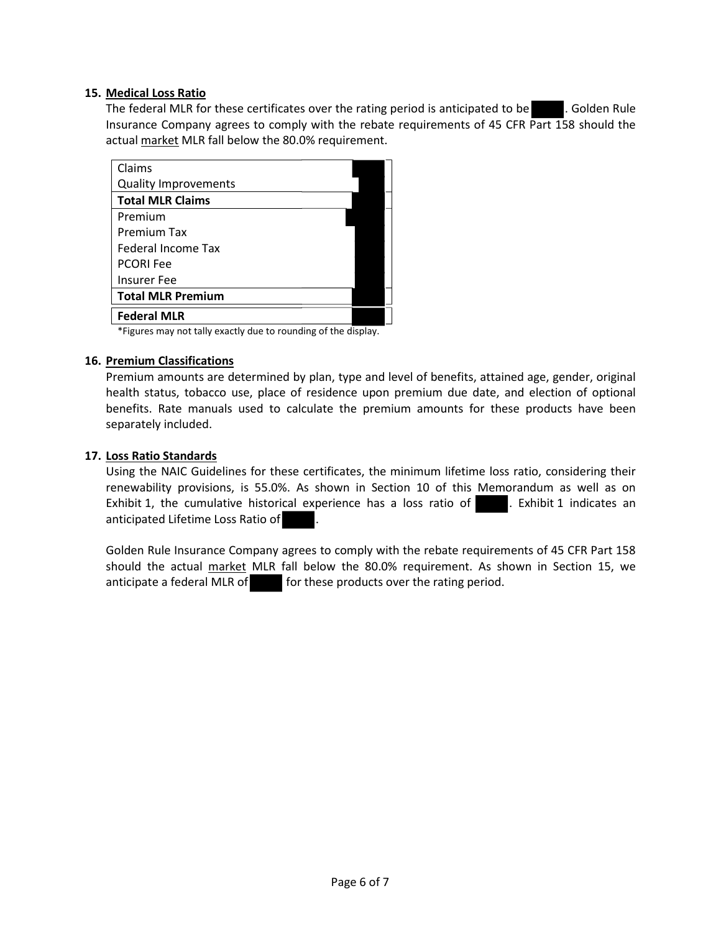## **15. Medical Loss Ratio**

The federal MLR for these certificates over the rating period is anticipated to be . Golden Rule Insurance Company agrees to comply with the rebate requirements of 45 CFR Part 158 should the actual market MLR fall below the 80.0% requirement.

| Claims                      |  |
|-----------------------------|--|
| <b>Quality Improvements</b> |  |
| <b>Total MLR Claims</b>     |  |
| Premium                     |  |
| Premium Tax                 |  |
| Federal Income Tax          |  |
| <b>PCORI Fee</b>            |  |
| <b>Insurer Fee</b>          |  |
| <b>Total MLR Premium</b>    |  |
| <b>Federal MLR</b>          |  |

\*Figures may not tally exactly due to rounding of the display.

## **16. Premium Classifications**

Premium amounts are determined by plan, type and level of benefits, attained age, gender, original health status, tobacco use, place of residence upon premium due date, and election of optional benefits. Rate manuals used to calculate the premium amounts for these products have been separately included.

## **17. Loss Ratio Standards**

Using the NAIC Guidelines for these certificates, the minimum lifetime loss ratio, considering their renewability provisions, is 55.0%. As shown in Section 10 of this Memorandum as well as on Exhibit 1, the cumulative historical experience has a loss ratio of . Exhibit 1 indicates an anticipated Lifetime Loss Ratio of .

Golden Rule Insurance Company agrees to comply with the rebate requirements of 45 CFR Part 158 should the actual market MLR fall below the 80.0% requirement. As shown in Section 15, we anticipate a federal MLR of for these products over the rating period.